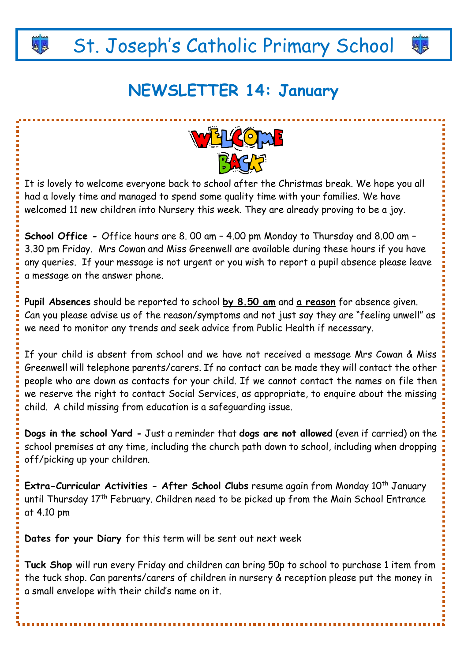# St. Joseph's Catholic Primary School

ه ه

# **NEWSLETTER 14: January**



It is lovely to welcome everyone back to school after the Christmas break. We hope you all had a lovely time and managed to spend some quality time with your families. We have welcomed 11 new children into Nursery this week. They are already proving to be a joy.

**School Office -** Office hours are 8. 00 am – 4.00 pm Monday to Thursday and 8.00 am – 3.30 pm Friday. Mrs Cowan and Miss Greenwell are available during these hours if you have any queries. If your message is not urgent or you wish to report a pupil absence please leave a message on the answer phone.

**Pupil Absences** should be reported to school **by 8.50 am** and **a reason** for absence given. Can you please advise us of the reason/symptoms and not just say they are "feeling unwell" as we need to monitor any trends and seek advice from Public Health if necessary.

If your child is absent from school and we have not received a message Mrs Cowan & Miss Greenwell will telephone parents/carers. If no contact can be made they will contact the other people who are down as contacts for your child. If we cannot contact the names on file then we reserve the right to contact Social Services, as appropriate, to enquire about the missing child. A child missing from education is a safeguarding issue.

**Dogs in the school Yard -** Just a reminder that **dogs are not allowed** (even if carried) on the school premises at any time, including the church path down to school, including when dropping off/picking up your children.

**Extra-Curricular Activities - After School Clubs** resume again from Monday 10<sup>th</sup> January until Thursday 17<sup>th</sup> February. Children need to be picked up from the Main School Entrance at 4.10 pm

**Dates for your Diary** for this term will be sent out next week

**Tuck Shop** will run every Friday and children can bring 50p to school to purchase 1 item from the tuck shop. Can parents/carers of children in nursery & reception please put the money in a small envelope with their child's name on it.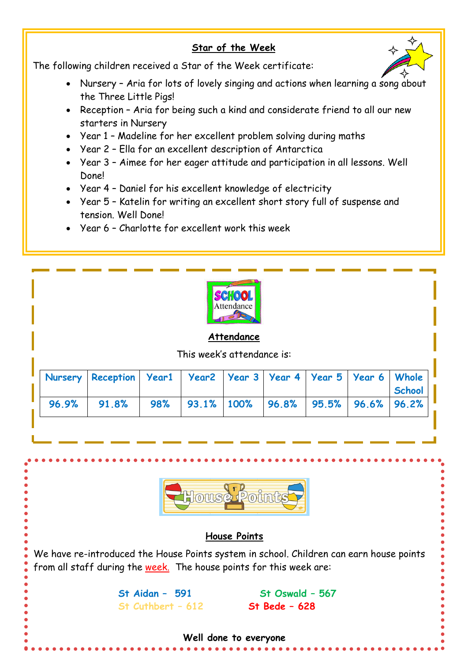### **Star of the Week**



The following children received a Star of the Week certificate:

- Nursery Aria for lots of lovely singing and actions when learning a song about the Three Little Pigs!
- Reception Aria for being such a kind and considerate friend to all our new starters in Nursery
- Year 1 Madeline for her excellent problem solving during maths
- Year 2 Ella for an excellent description of Antarctica
- Year 3 Aimee for her eager attitude and participation in all lessons. Well Done!
- Year 4 Daniel for his excellent knowledge of electricity
- Year 5 Katelin for writing an excellent short story full of suspense and tension. Well Done!
- Year 6 Charlotte for excellent work this week



### **Attendance**

This week's attendance is:

|  | "   Nursery   Reception   Year1   Year2   Year 3   Year 4   Year 5   Year 6   Whole |  |  |  | School |
|--|-------------------------------------------------------------------------------------|--|--|--|--------|
|  | $96.9\%$ 91.8% 98% 93.1% 100% 96.8% 95.5% 96.6% 96.2%                               |  |  |  |        |



## **House Points**

We have re-introduced the House Points system in school. Children can earn house points from all staff during the week. The house points for this week are:

# **St Cuthbert – 612 St Bede – 628**

**St Aidan – 591 St Oswald – 567**

#### **Well done to everyone**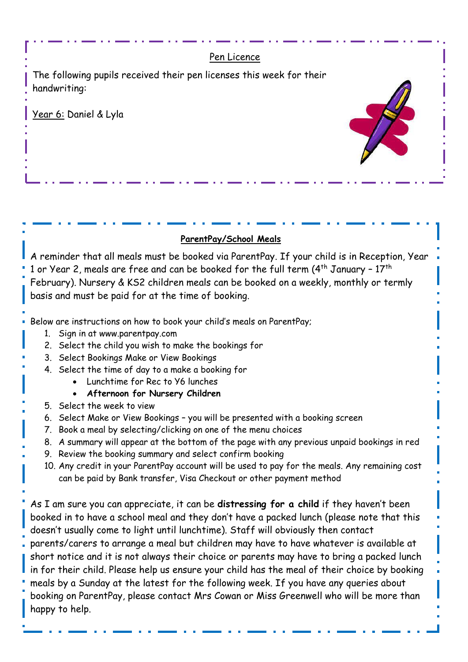

booked in to have a school meal and they don't have a packed lunch (please note that this doesn't usually come to light until lunchtime). Staff will obviously then contact parents/carers to arrange a meal but children may have to have whatever is available at short notice and it is not always their choice or parents may have to bring a packed lunch in for their child. Please help us ensure your child has the meal of their choice by booking meals by a Sunday at the latest for the following week. If you have any queries about booking on ParentPay, please contact Mrs Cowan or Miss Greenwell who will be more than happy to help.